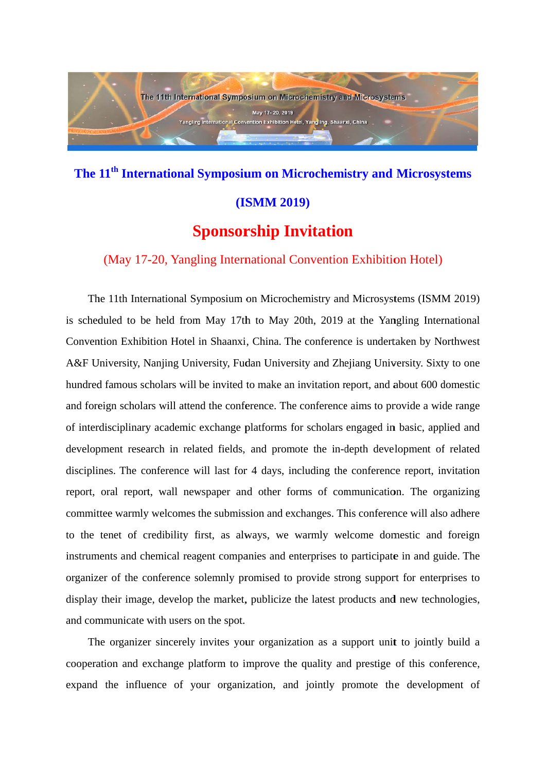

# The 11<sup>th</sup> International Symposium on Microchemistry and Microsystems

#### **(ISMM 2019)**

### **Sponsorship Invitation**

(May 17-20, Yangling International Convention Exhibition Hotel)

The 11th International Symposium on Microchemistry and Microsystems (ISMM 2019) is scheduled to be held from May 17th to May 20th, 2019 at the Yangling International Convention Exhibition Hotel in Shaanxi, China. The conference is undertaken by Northwest A&F University, Nanjing University, Fudan University and Zhejiang University. Sixty to one hundred famous scholars will be invited to make an invitation report, and about 600 domestic and foreign scholars will attend the conference. The conference aims to provide a wide range of interdisciplinary academic exchange platforms for scholars engaged in basic, applied and development research in related fields, and promote the in-depth development of related disciplines. The conference will last for 4 days, including the conference report, invitation report, oral report, wall newspaper and other forms of communication. The organizing committee warmly welcomes the submission and exchanges. This conference will also adhere to the tenet of credibility first, as always, we warmly welcome domestic and foreign instruments and chemical reagent companies and enterprises to participate in and guide. The organizer of the conference solemnly promised to provide strong support for enterprises to display their image, develop the market, publicize the latest products and new technologies, and communicate with users on the spot.

The organizer sincerely invites your organization as a support unit to jointly build a cooperation and exchange platform to improve the quality and prestige of this conference, expand the influence of your organization, and jointly promote the development of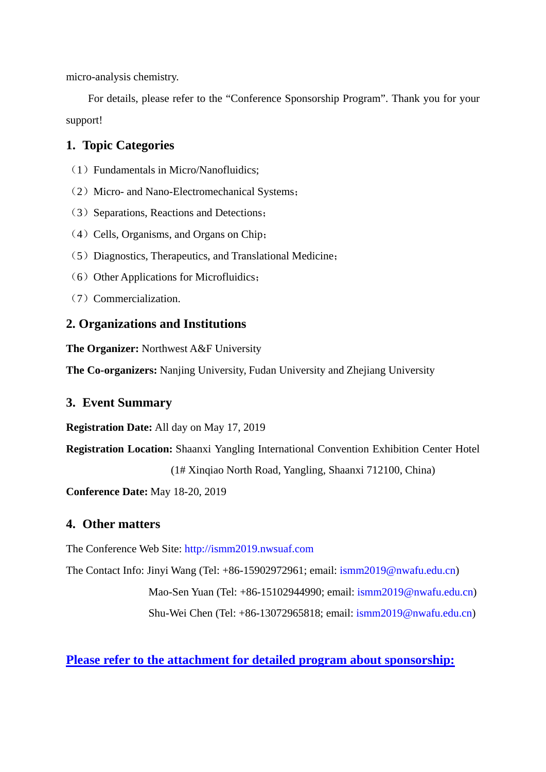micro-analysis chemistry.

For details, please refer to the "Conference Sponsorship Program". Thank you for your support!

#### **1. Topic Categories**

- $(1)$  Fundamentals in Micro/Nanofluidics:
- (2) Micro- and Nano-Electromechanical Systems;
- (3) Separations, Reactions and Detections;
- $(4)$  Cells, Organisms, and Organs on Chip;
- (5) Diagnostics, Therapeutics, and Translational Medicine;
- $(6)$  Other Applications for Microfluidics;
- (7) Commercialization.

#### **2. Organizations and Institutions**

**The Organizer:** Northwest A&F University

**The Co-organizers:** Nanjing University, Fudan University and Zhejiang University

#### **3. Event Summary**

**Registration Date:** All day on May 17, 2019

**Registration Location:** Shaanxi Yangling International Convention Exhibition Center Hotel

(1# Xinqiao North Road, Yangling, Shaanxi 712100, China)

**Conference Date:** May 18-20, 2019

#### **4. Other matters**

The Conference Web Site: http://ismm2019.nwsuaf.com

The Contact Info: Jinyi Wang (Tel: +86-15902972961; email: ismm2019@nwafu.edu.cn) Mao-Sen Yuan (Tel: +86-15102944990; email: ismm2019@nwafu.edu.cn) Shu-Wei Chen (Tel: +86-13072965818; email: ismm2019@nwafu.edu.cn)

**Please refer to the attachment for detailed program about sponsorship:**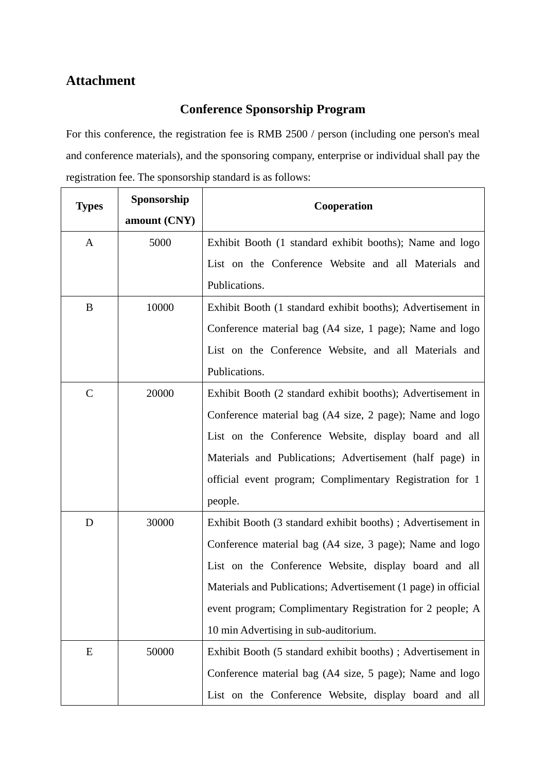# **Attachment**

## **Conference Sponsorship Program**

For this conference, the registration fee is RMB 2500 / person (including one person's meal and conference materials), and the sponsoring company, enterprise or individual shall pay the registration fee. The sponsorship standard is as follows:

| <b>Types</b> | Sponsorship  | Cooperation                                                    |
|--------------|--------------|----------------------------------------------------------------|
|              | amount (CNY) |                                                                |
| $\mathbf{A}$ | 5000         | Exhibit Booth (1 standard exhibit booths); Name and logo       |
|              |              | List on the Conference Website and all Materials and           |
|              |              | Publications.                                                  |
| B            | 10000        | Exhibit Booth (1 standard exhibit booths); Advertisement in    |
|              |              | Conference material bag (A4 size, 1 page); Name and logo       |
|              |              | List on the Conference Website, and all Materials and          |
|              |              | Publications.                                                  |
| $\mathbf C$  | 20000        | Exhibit Booth (2 standard exhibit booths); Advertisement in    |
|              |              | Conference material bag (A4 size, 2 page); Name and logo       |
|              |              | List on the Conference Website, display board and all          |
|              |              | Materials and Publications; Advertisement (half page) in       |
|              |              | official event program; Complimentary Registration for 1       |
|              |              | people.                                                        |
| D            | 30000        | Exhibit Booth (3 standard exhibit booths); Advertisement in    |
|              |              | Conference material bag (A4 size, 3 page); Name and logo       |
|              |              | List on the Conference Website, display board and all          |
|              |              | Materials and Publications; Advertisement (1 page) in official |
|              |              | event program; Complimentary Registration for 2 people; A      |
|              |              | 10 min Advertising in sub-auditorium.                          |
| E            | 50000        | Exhibit Booth (5 standard exhibit booths); Advertisement in    |
|              |              | Conference material bag (A4 size, 5 page); Name and logo       |
|              |              | List on the Conference Website, display board and all          |